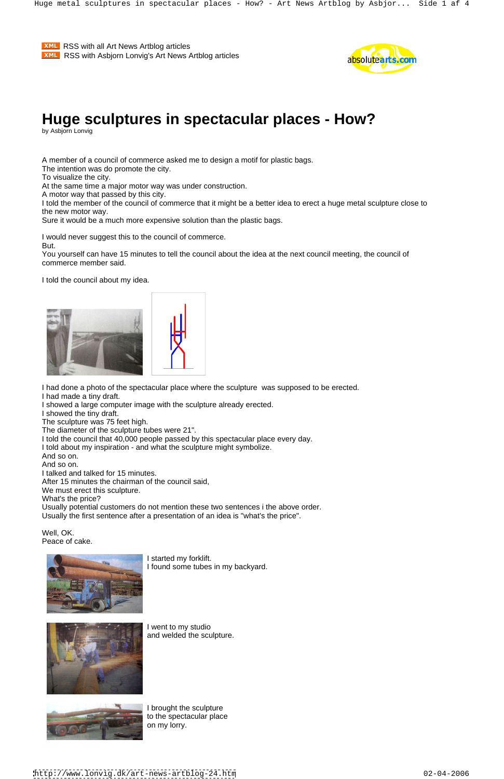# **Huge sculptures in spectacular places - How?**

by Asbjorn Lonvig

A member of a council of commerce asked me to design a motif for plastic bags.

The intention was do promote the city.

To visualize the city.

At the same time a major motor way was under construction.

A motor way that passed by this city.

I told the member of the council of commerce that it might be a better idea to erect a huge metal sculpture close to the new motor way.

Sure it would be a much more expensive solution than the plastic bags.

I would never suggest this to the council of commerce.

But.

You yourself can have 15 minutes to tell the council about the idea at the next council meeting, the council of commerce member said.

I told the council about my idea.



I had done a photo of the spectacular place where the sculpture was supposed to be erected.

I had made a tiny draft.

I showed a large computer image with the sculpture already erected.

I showed the tiny draft.

The sculpture was 75 feet high.

The diameter of the sculpture tubes were 21".

I told the council that 40,000 people passed by this spectacular place every day.

I told about my inspiration - and what the sculpture might symbolize.

And so on.

And so on.

I talked and talked for 15 minutes.

After 15 minutes the chairman of the council said,

We must erect this sculpture.

What's the price?

Usually potential customers do not mention these two sentences i the above order. Usually the first sentence after a presentation of an idea is "what's the price".

Well, OK. Peace of cake.



I started my forklift. I found some tubes in my backyard.



I went to my studio and welded the sculpture.



I brought the sculpture to the spectacular place on my lorry.

**XML** RSS with all Art News Artblog articles **EXML** RSS with Asbjorn Lonvig's Art News Artblog articles **Example 20 and Solute 2** 



<http://www.lonvig.dk/art-news-artblog-24.htm> 02-04-2006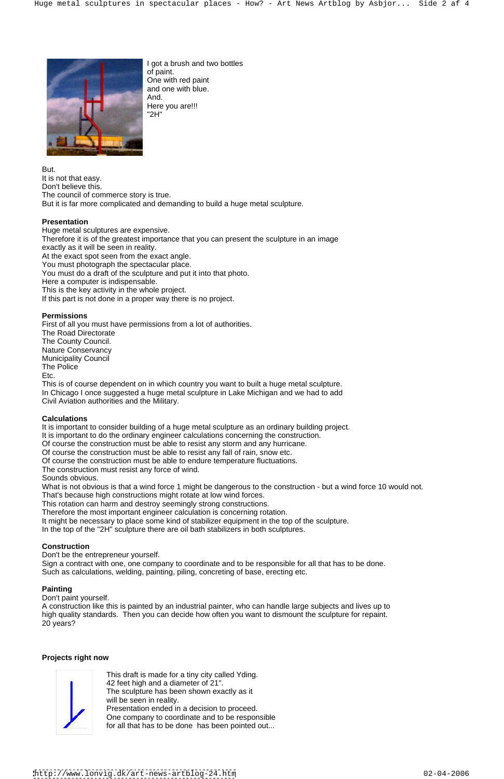I got a brush and two bottles of paint. One with red paint and one with blue. And. Here you are!!! "2H"

But. It is not that easy. Don't believe this. The council of commerce story is true. But it is far more complicated and demanding to build a huge metal sculpture.

#### **Presentation**

First of all you must have permissions from a lot of authorities. The Road Directorate The County Council. Nature Conservancy **Nature Conservancy** and the set of the set of the set of the set of the set of the set of the set of the set of the set of the set of the set of the set of the set of the set of the set of the set of th Municipality Council The Police <u>Etc.</u> The contract of the contract of the contract of the contract of the contract of the contract of the contract of the contract of the contract of the contract of the contract of the contract of the contract of the con

Huge metal sculptures are expensive. Therefore it is of the greatest importance that you can present the sculpture in an image exactly as it will be seen in reality. At the exact spot seen from the exact angle. You must photograph the spectacular place. You must do a draft of the sculpture and put it into that photo. Here a computer is indispensable. This is the key activity in the whole project. If this part is not done in a proper way there is no project.

#### **Permissions**

What is not obvious is that a wind force 1 might be dangerous to the construction - but a wind force 10 would not. That's because high constructions might rotate at low wind forces.

This is of course dependent on in which country you want to built a huge metal sculpture. In Chicago I once suggested a huge metal sculpture in Lake Michigan and we had to add Civil Aviation authorities and the Military.

#### **Calculations**

It is important to consider building of a huge metal sculpture as an ordinary building project.

It is important to do the ordinary engineer calculations concerning the construction.

Of course the construction must be able to resist any storm and any hurricane.

Of course the construction must be able to resist any fall of rain, snow etc.

Of course the construction must be able to endure temperature fluctuations.

The construction must resist any force of wind.

Sounds obvious.

This rotation can harm and destroy seemingly strong constructions.

Therefore the most important engineer calculation is concerning rotation.

It might be necessary to place some kind of stabilizer equipment in the top of the sculpture.

In the top of the "2H" sculpture there are oil bath stabilizers in both sculptures.

#### **Construction**

Don't be the entrepreneur yourself.

Sign a contract with one, one company to coordinate and to be responsible for all that has to be done.

Such as calculations, welding, painting, piling, concreting of base, erecting etc.

#### **Painting**

Don't paint yourself.

A construction like this is painted by an industrial painter, who can handle large subjects and lives up to high quality standards. Then you can decide how often you want to dismount the sculpture for repaint. 20 years?

#### **Projects right now**



This draft is made for a tiny city called Yding. 42 feet high and a diameter of 21". The sculpture has been shown exactly as it will be seen in reality. Presentation ended in a decision to proceed. One company to coordinate and to be responsible for all that has to be done has been pointed out...



<http://www.lonvig.dk/art-news-artblog-24.htm> 02-04-2006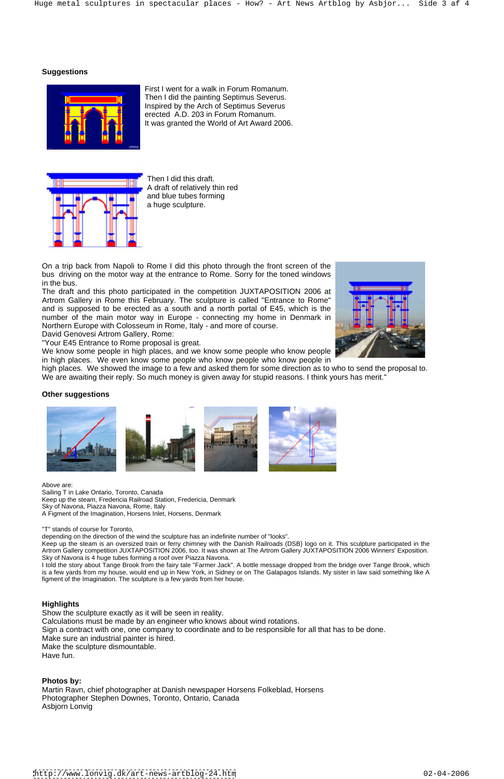#### **Suggestions**



First I went for a walk in Forum Romanum. Then I did the painting Septimus Severus. Inspired by the Arch of Septimus Severus erected A.D. 203 in Forum Romanum. It was granted the World of Art Award 2006.



On a trip back from Napoli to Rome I did this photo through the front screen of the bus driving on the motor way at the entrance to Rome. Sorry for the toned windows in the bus. The buse of the contract of the contract of the contract of the contract of the contract of the contract of the contract of the contract of the contract of the contract of the contract of the contract of the co

Then I did this draft. A draft of relatively thin red and blue tubes forming a huge sculpture.

high places. We showed the image to a few and asked them for some direction as to who to send the proposal to. We are awaiting their reply. So much money is given away for stupid reasons. I think yours has merit."

The draft and this photo participated in the competition JUXTAPOSITION 2006 at Artrom Gallery in Rome this February. The sculpture is called "Entrance to Rome" and is supposed to be erected as a south and a north portal of E45, which is the number of the main motor way in Europe - connecting my home in Denmark in Northern Europe with Colosseum in Rome, Italy - and more of course.

Above are: with a state of the state of the state of the state of the state of the state of the state of the state of the state of the state of the state of the state of the state of the state of the state of the state of Sailing T in Lake Ontario, Toronto, Canada Keep up the steam, Fredericia Railroad Station, Fredericia, Denmark Sky of Navona, Piazza Navona, Rome, Italy A Figment of the Imagination, Horsens Inlet, Horsens, Denmark

David Genovesi Artrom Gallery, Rome:

"Your E45 Entrance to Rome proposal is great.

We know some people in high places, and we know some people who know people in high places. We even know some people who know people who know people in



I told the story about Tange Brook from the fairy tale "Farmer Jack". A bottle message dropped from the bridge over Tange Brook, which is a few yards from my house, would end up in New York, in Sidney or on The Galapagos Islands. My sister in law said something like A

Show the sculpture exactly as it will be seen in reality. Calculations must be made by an engineer who knows about wind rotations. Sign a contract with one, one company to coordinate and to be responsible for all that has to be done. Make sure an industrial painter is hired. Make the sculpture dismountable. Have fun.

#### **Other suggestions**



"T" stands of course for Toronto,

depending on the direction of the wind the sculpture has an indefinite number of "looks".

Keep up the steam is an oversized train or ferry chimney with the Danish Railroads (DSB) logo on it. This sculpture participated in the Artrom Gallery competition JUXTAPOSITION 2006, too. It was shown at The Artrom Gallery JUXTAPOSITION 2006 Winners' Exposition. Sky of Navona is 4 huge tubes forming a roof over Piazza Navona.

figment of the Imagination. The sculpture is a few yards from her house.

#### **Highlights**

#### **Photos by:**

Martin Ravn, chief photographer at Danish newspaper Horsens Folkeblad, Horsens Photographer Stephen Downes, Toronto, Ontario, Canada Asbjorn Lonvig